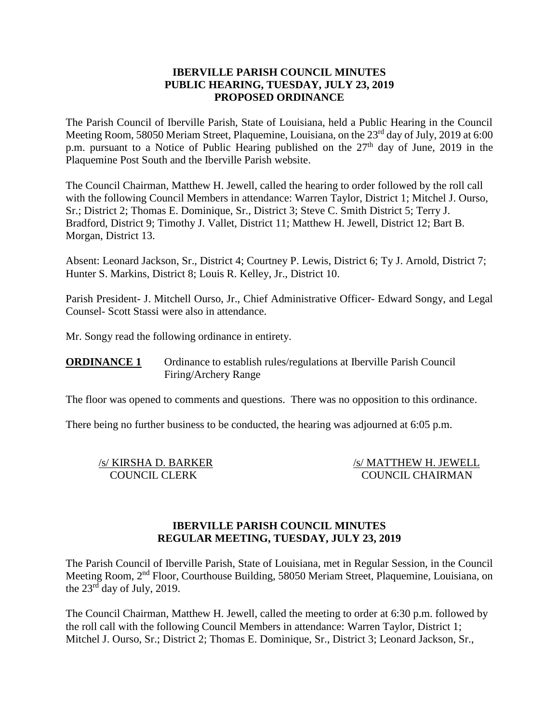### **IBERVILLE PARISH COUNCIL MINUTES PUBLIC HEARING, TUESDAY, JULY 23, 2019 PROPOSED ORDINANCE**

The Parish Council of Iberville Parish, State of Louisiana, held a Public Hearing in the Council Meeting Room, 58050 Meriam Street, Plaquemine, Louisiana, on the 23<sup>rd</sup> day of July, 2019 at 6:00 p.m. pursuant to a Notice of Public Hearing published on the  $27<sup>th</sup>$  day of June, 2019 in the Plaquemine Post South and the Iberville Parish website.

The Council Chairman, Matthew H. Jewell, called the hearing to order followed by the roll call with the following Council Members in attendance: Warren Taylor, District 1; Mitchel J. Ourso, Sr.; District 2; Thomas E. Dominique, Sr., District 3; Steve C. Smith District 5; Terry J. Bradford, District 9; Timothy J. Vallet, District 11; Matthew H. Jewell, District 12; Bart B. Morgan, District 13.

Absent: Leonard Jackson, Sr., District 4; Courtney P. Lewis, District 6; Ty J. Arnold, District 7; Hunter S. Markins, District 8; Louis R. Kelley, Jr., District 10.

Parish President- J. Mitchell Ourso, Jr., Chief Administrative Officer- Edward Songy, and Legal Counsel- Scott Stassi were also in attendance.

Mr. Songy read the following ordinance in entirety.

**ORDINANCE 1** Ordinance to establish rules/regulations at Iberville Parish Council Firing/Archery Range

The floor was opened to comments and questions. There was no opposition to this ordinance.

There being no further business to be conducted, the hearing was adjourned at 6:05 p.m.

/s/ KIRSHA D. BARKER /s/ MATTHEW H. JEWELL COUNCIL CLERK COUNCIL CHAIRMAN

### **IBERVILLE PARISH COUNCIL MINUTES REGULAR MEETING, TUESDAY, JULY 23, 2019**

The Parish Council of Iberville Parish, State of Louisiana, met in Regular Session, in the Council Meeting Room, 2nd Floor, Courthouse Building, 58050 Meriam Street, Plaquemine, Louisiana, on the 23rd day of July, 2019.

The Council Chairman, Matthew H. Jewell, called the meeting to order at 6:30 p.m. followed by the roll call with the following Council Members in attendance: Warren Taylor, District 1; Mitchel J. Ourso, Sr.; District 2; Thomas E. Dominique, Sr., District 3; Leonard Jackson, Sr.,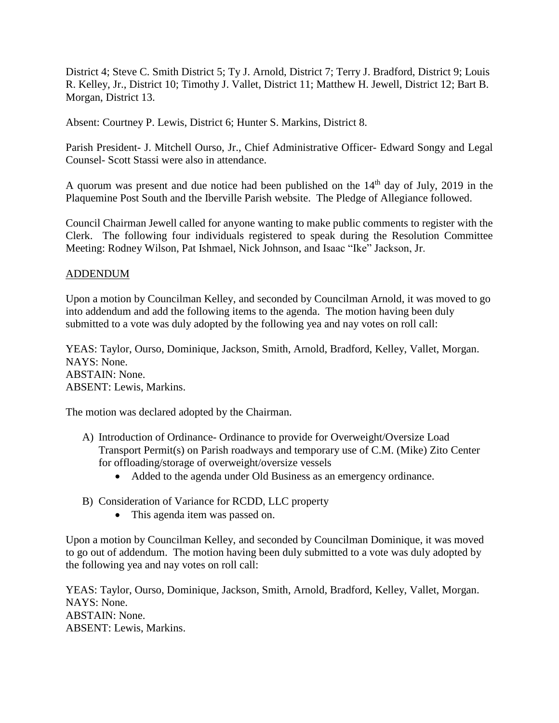District 4; Steve C. Smith District 5; Ty J. Arnold, District 7; Terry J. Bradford, District 9; Louis R. Kelley, Jr., District 10; Timothy J. Vallet, District 11; Matthew H. Jewell, District 12; Bart B. Morgan, District 13.

Absent: Courtney P. Lewis, District 6; Hunter S. Markins, District 8.

Parish President- J. Mitchell Ourso, Jr., Chief Administrative Officer- Edward Songy and Legal Counsel- Scott Stassi were also in attendance.

A quorum was present and due notice had been published on the  $14<sup>th</sup>$  day of July, 2019 in the Plaquemine Post South and the Iberville Parish website. The Pledge of Allegiance followed.

Council Chairman Jewell called for anyone wanting to make public comments to register with the Clerk. The following four individuals registered to speak during the Resolution Committee Meeting: Rodney Wilson, Pat Ishmael, Nick Johnson, and Isaac "Ike" Jackson, Jr.

#### ADDENDUM

Upon a motion by Councilman Kelley, and seconded by Councilman Arnold, it was moved to go into addendum and add the following items to the agenda. The motion having been duly submitted to a vote was duly adopted by the following yea and nay votes on roll call:

YEAS: Taylor, Ourso, Dominique, Jackson, Smith, Arnold, Bradford, Kelley, Vallet, Morgan. NAYS: None. ABSTAIN: None. ABSENT: Lewis, Markins.

The motion was declared adopted by the Chairman.

- A) Introduction of Ordinance- Ordinance to provide for Overweight/Oversize Load Transport Permit(s) on Parish roadways and temporary use of C.M. (Mike) Zito Center for offloading/storage of overweight/oversize vessels
	- Added to the agenda under Old Business as an emergency ordinance.
- B) Consideration of Variance for RCDD, LLC property
	- This agenda item was passed on.

Upon a motion by Councilman Kelley, and seconded by Councilman Dominique, it was moved to go out of addendum. The motion having been duly submitted to a vote was duly adopted by the following yea and nay votes on roll call:

YEAS: Taylor, Ourso, Dominique, Jackson, Smith, Arnold, Bradford, Kelley, Vallet, Morgan. NAYS: None. ABSTAIN: None. ABSENT: Lewis, Markins.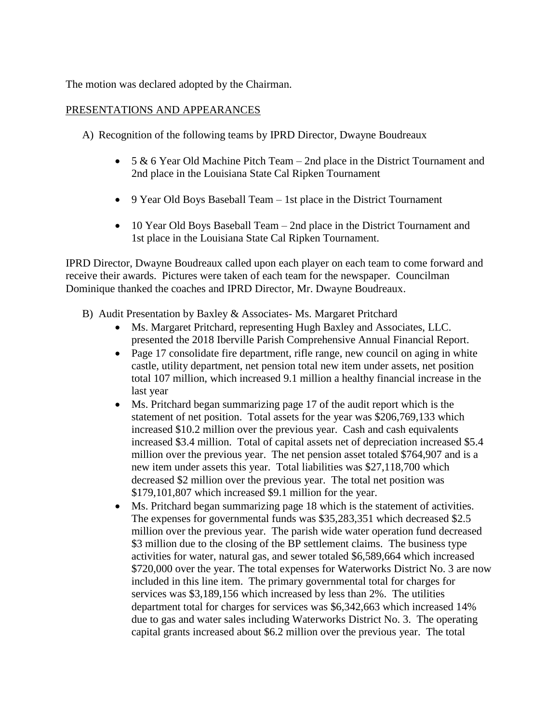The motion was declared adopted by the Chairman.

### PRESENTATIONS AND APPEARANCES

A) Recognition of the following teams by IPRD Director, Dwayne Boudreaux

- $\bullet$  5 & 6 Year Old Machine Pitch Team 2nd place in the District Tournament and 2nd place in the Louisiana State Cal Ripken Tournament
- 9 Year Old Boys Baseball Team 1st place in the District Tournament
- 10 Year Old Boys Baseball Team 2nd place in the District Tournament and 1st place in the Louisiana State Cal Ripken Tournament.

IPRD Director, Dwayne Boudreaux called upon each player on each team to come forward and receive their awards. Pictures were taken of each team for the newspaper. Councilman Dominique thanked the coaches and IPRD Director, Mr. Dwayne Boudreaux.

- B) Audit Presentation by Baxley & Associates- Ms. Margaret Pritchard
	- Ms. Margaret Pritchard, representing Hugh Baxley and Associates, LLC. presented the 2018 Iberville Parish Comprehensive Annual Financial Report.
	- Page 17 consolidate fire department, rifle range, new council on aging in white castle, utility department, net pension total new item under assets, net position total 107 million, which increased 9.1 million a healthy financial increase in the last year
	- Ms. Pritchard began summarizing page 17 of the audit report which is the statement of net position. Total assets for the year was \$206,769,133 which increased \$10.2 million over the previous year. Cash and cash equivalents increased \$3.4 million. Total of capital assets net of depreciation increased \$5.4 million over the previous year. The net pension asset totaled \$764,907 and is a new item under assets this year. Total liabilities was \$27,118,700 which decreased \$2 million over the previous year. The total net position was \$179,101,807 which increased \$9.1 million for the year.
	- Ms. Pritchard began summarizing page 18 which is the statement of activities. The expenses for governmental funds was \$35,283,351 which decreased \$2.5 million over the previous year. The parish wide water operation fund decreased \$3 million due to the closing of the BP settlement claims. The business type activities for water, natural gas, and sewer totaled \$6,589,664 which increased \$720,000 over the year. The total expenses for Waterworks District No. 3 are now included in this line item. The primary governmental total for charges for services was \$3,189,156 which increased by less than 2%. The utilities department total for charges for services was \$6,342,663 which increased 14% due to gas and water sales including Waterworks District No. 3. The operating capital grants increased about \$6.2 million over the previous year. The total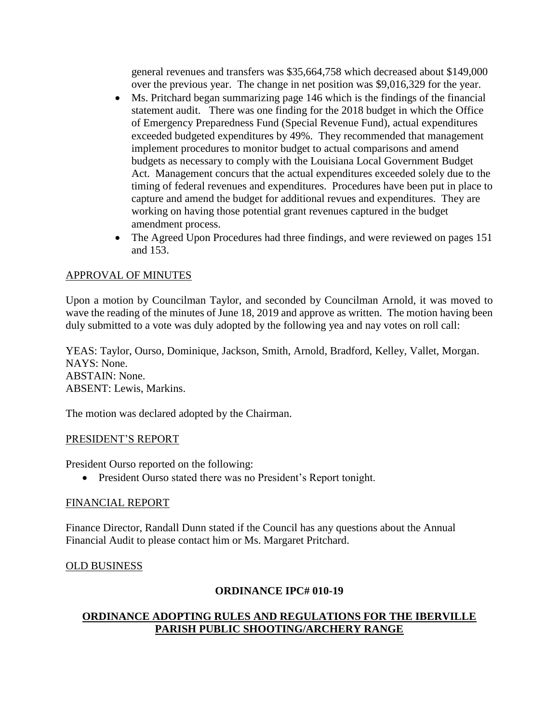general revenues and transfers was \$35,664,758 which decreased about \$149,000 over the previous year. The change in net position was \$9,016,329 for the year.

- Ms. Pritchard began summarizing page 146 which is the findings of the financial statement audit. There was one finding for the 2018 budget in which the Office of Emergency Preparedness Fund (Special Revenue Fund), actual expenditures exceeded budgeted expenditures by 49%. They recommended that management implement procedures to monitor budget to actual comparisons and amend budgets as necessary to comply with the Louisiana Local Government Budget Act. Management concurs that the actual expenditures exceeded solely due to the timing of federal revenues and expenditures. Procedures have been put in place to capture and amend the budget for additional revues and expenditures. They are working on having those potential grant revenues captured in the budget amendment process.
- The Agreed Upon Procedures had three findings, and were reviewed on pages 151 and 153.

## APPROVAL OF MINUTES

Upon a motion by Councilman Taylor, and seconded by Councilman Arnold, it was moved to wave the reading of the minutes of June 18, 2019 and approve as written. The motion having been duly submitted to a vote was duly adopted by the following yea and nay votes on roll call:

YEAS: Taylor, Ourso, Dominique, Jackson, Smith, Arnold, Bradford, Kelley, Vallet, Morgan. NAYS: None. ABSTAIN: None. ABSENT: Lewis, Markins.

The motion was declared adopted by the Chairman.

### PRESIDENT'S REPORT

President Ourso reported on the following:

• President Ourso stated there was no President's Report tonight.

## FINANCIAL REPORT

Finance Director, Randall Dunn stated if the Council has any questions about the Annual Financial Audit to please contact him or Ms. Margaret Pritchard.

## OLD BUSINESS

## **ORDINANCE IPC# 010-19**

## **ORDINANCE ADOPTING RULES AND REGULATIONS FOR THE IBERVILLE PARISH PUBLIC SHOOTING/ARCHERY RANGE**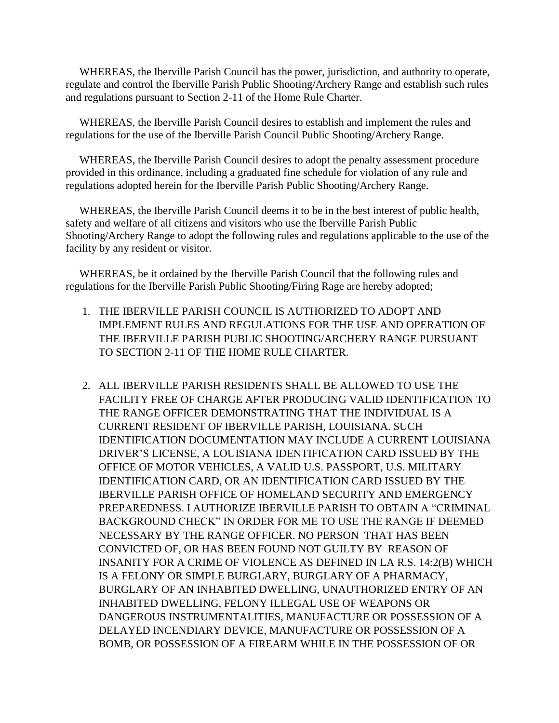WHEREAS, the Iberville Parish Council has the power, jurisdiction, and authority to operate, regulate and control the Iberville Parish Public Shooting/Archery Range and establish such rules and regulations pursuant to Section 2-11 of the Home Rule Charter.

 WHEREAS, the Iberville Parish Council desires to establish and implement the rules and regulations for the use of the Iberville Parish Council Public Shooting/Archery Range.

 WHEREAS, the Iberville Parish Council desires to adopt the penalty assessment procedure provided in this ordinance, including a graduated fine schedule for violation of any rule and regulations adopted herein for the Iberville Parish Public Shooting/Archery Range.

 WHEREAS, the Iberville Parish Council deems it to be in the best interest of public health, safety and welfare of all citizens and visitors who use the Iberville Parish Public Shooting/Archery Range to adopt the following rules and regulations applicable to the use of the facility by any resident or visitor.

 WHEREAS, be it ordained by the Iberville Parish Council that the following rules and regulations for the Iberville Parish Public Shooting/Firing Rage are hereby adopted;

- 1. THE IBERVILLE PARISH COUNCIL IS AUTHORIZED TO ADOPT AND IMPLEMENT RULES AND REGULATIONS FOR THE USE AND OPERATION OF THE IBERVILLE PARISH PUBLIC SHOOTING/ARCHERY RANGE PURSUANT TO SECTION 2-11 OF THE HOME RULE CHARTER.
- 2. ALL IBERVILLE PARISH RESIDENTS SHALL BE ALLOWED TO USE THE FACILITY FREE OF CHARGE AFTER PRODUCING VALID IDENTIFICATION TO THE RANGE OFFICER DEMONSTRATING THAT THE INDIVIDUAL IS A CURRENT RESIDENT OF IBERVILLE PARISH, LOUISIANA. SUCH IDENTIFICATION DOCUMENTATION MAY INCLUDE A CURRENT LOUISIANA DRIVER'S LICENSE, A LOUISIANA IDENTIFICATION CARD ISSUED BY THE OFFICE OF MOTOR VEHICLES, A VALID U.S. PASSPORT, U.S. MILITARY IDENTIFICATION CARD, OR AN IDENTIFICATION CARD ISSUED BY THE IBERVILLE PARISH OFFICE OF HOMELAND SECURITY AND EMERGENCY PREPAREDNESS. I AUTHORIZE IBERVILLE PARISH TO OBTAIN A "CRIMINAL BACKGROUND CHECK" IN ORDER FOR ME TO USE THE RANGE IF DEEMED NECESSARY BY THE RANGE OFFICER. NO PERSON THAT HAS BEEN CONVICTED OF, OR HAS BEEN FOUND NOT GUILTY BY REASON OF INSANITY FOR A CRIME OF VIOLENCE AS DEFINED IN LA R.S. 14:2(B) WHICH IS A FELONY OR SIMPLE BURGLARY, BURGLARY OF A PHARMACY, BURGLARY OF AN INHABITED DWELLING, UNAUTHORIZED ENTRY OF AN INHABITED DWELLING, FELONY ILLEGAL USE OF WEAPONS OR DANGEROUS INSTRUMENTALITIES, MANUFACTURE OR POSSESSION OF A DELAYED INCENDIARY DEVICE, MANUFACTURE OR POSSESSION OF A BOMB, OR POSSESSION OF A FIREARM WHILE IN THE POSSESSION OF OR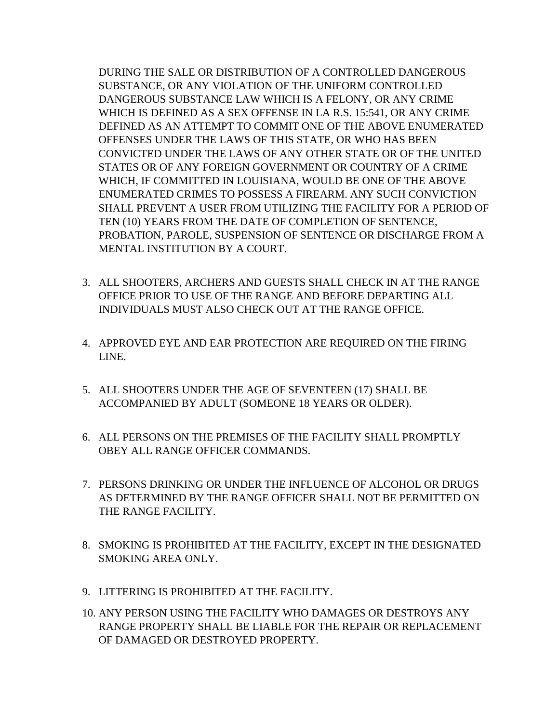DURING THE SALE OR DISTRIBUTION OF A CONTROLLED DANGEROUS SUBSTANCE, OR ANY VIOLATION OF THE UNIFORM CONTROLLED DANGEROUS SUBSTANCE LAW WHICH IS A FELONY, OR ANY CRIME WHICH IS DEFINED AS A SEX OFFENSE IN LA R.S. 15:541, OR ANY CRIME DEFINED AS AN ATTEMPT TO COMMIT ONE OF THE ABOVE ENUMERATED OFFENSES UNDER THE LAWS OF THIS STATE, OR WHO HAS BEEN CONVICTED UNDER THE LAWS OF ANY OTHER STATE OR OF THE UNITED STATES OR OF ANY FOREIGN GOVERNMENT OR COUNTRY OF A CRIME WHICH, IF COMMITTED IN LOUISIANA, WOULD BE ONE OF THE ABOVE ENUMERATED CRIMES TO POSSESS A FIREARM. ANY SUCH CONVICTION SHALL PREVENT A USER FROM UTILIZING THE FACILITY FOR A PERIOD OF TEN (10) YEARS FROM THE DATE OF COMPLETION OF SENTENCE, PROBATION, PAROLE, SUSPENSION OF SENTENCE OR DISCHARGE FROM A MENTAL INSTITUTION BY A COURT.

- 3. ALL SHOOTERS, ARCHERS AND GUESTS SHALL CHECK IN AT THE RANGE OFFICE PRIOR TO USE OF THE RANGE AND BEFORE DEPARTING ALL INDIVIDUALS MUST ALSO CHECK OUT AT THE RANGE OFFICE.
- 4. APPROVED EYE AND EAR PROTECTION ARE REQUIRED ON THE FIRING LINE.
- 5. ALL SHOOTERS UNDER THE AGE OF SEVENTEEN (17) SHALL BE ACCOMPANIED BY ADULT (SOMEONE 18 YEARS OR OLDER).
- 6. ALL PERSONS ON THE PREMISES OF THE FACILITY SHALL PROMPTLY OBEY ALL RANGE OFFICER COMMANDS.
- 7. PERSONS DRINKING OR UNDER THE INFLUENCE OF ALCOHOL OR DRUGS AS DETERMINED BY THE RANGE OFFICER SHALL NOT BE PERMITTED ON THE RANGE FACILITY.
- 8. SMOKING IS PROHIBITED AT THE FACILITY, EXCEPT IN THE DESIGNATED SMOKING AREA ONLY.
- 9. LITTERING IS PROHIBITED AT THE FACILITY.
- 10. ANY PERSON USING THE FACILITY WHO DAMAGES OR DESTROYS ANY RANGE PROPERTY SHALL BE LIABLE FOR THE REPAIR OR REPLACEMENT OF DAMAGED OR DESTROYED PROPERTY.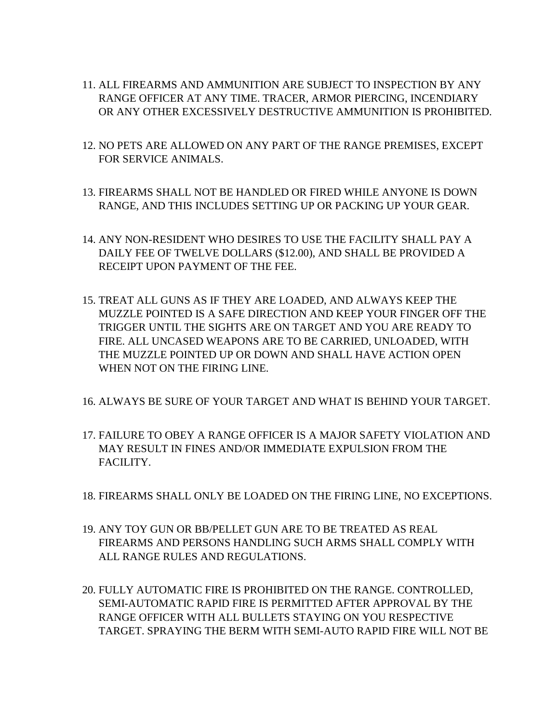- 11. ALL FIREARMS AND AMMUNITION ARE SUBJECT TO INSPECTION BY ANY RANGE OFFICER AT ANY TIME. TRACER, ARMOR PIERCING, INCENDIARY OR ANY OTHER EXCESSIVELY DESTRUCTIVE AMMUNITION IS PROHIBITED.
- 12. NO PETS ARE ALLOWED ON ANY PART OF THE RANGE PREMISES, EXCEPT FOR SERVICE ANIMALS.
- 13. FIREARMS SHALL NOT BE HANDLED OR FIRED WHILE ANYONE IS DOWN RANGE, AND THIS INCLUDES SETTING UP OR PACKING UP YOUR GEAR.
- 14. ANY NON-RESIDENT WHO DESIRES TO USE THE FACILITY SHALL PAY A DAILY FEE OF TWELVE DOLLARS (\$12.00), AND SHALL BE PROVIDED A RECEIPT UPON PAYMENT OF THE FEE.
- 15. TREAT ALL GUNS AS IF THEY ARE LOADED, AND ALWAYS KEEP THE MUZZLE POINTED IS A SAFE DIRECTION AND KEEP YOUR FINGER OFF THE TRIGGER UNTIL THE SIGHTS ARE ON TARGET AND YOU ARE READY TO FIRE. ALL UNCASED WEAPONS ARE TO BE CARRIED, UNLOADED, WITH THE MUZZLE POINTED UP OR DOWN AND SHALL HAVE ACTION OPEN WHEN NOT ON THE FIRING LINE.
- 16. ALWAYS BE SURE OF YOUR TARGET AND WHAT IS BEHIND YOUR TARGET.
- 17. FAILURE TO OBEY A RANGE OFFICER IS A MAJOR SAFETY VIOLATION AND MAY RESULT IN FINES AND/OR IMMEDIATE EXPULSION FROM THE FACILITY.
- 18. FIREARMS SHALL ONLY BE LOADED ON THE FIRING LINE, NO EXCEPTIONS.
- 19. ANY TOY GUN OR BB/PELLET GUN ARE TO BE TREATED AS REAL FIREARMS AND PERSONS HANDLING SUCH ARMS SHALL COMPLY WITH ALL RANGE RULES AND REGULATIONS.
- 20. FULLY AUTOMATIC FIRE IS PROHIBITED ON THE RANGE. CONTROLLED, SEMI-AUTOMATIC RAPID FIRE IS PERMITTED AFTER APPROVAL BY THE RANGE OFFICER WITH ALL BULLETS STAYING ON YOU RESPECTIVE TARGET. SPRAYING THE BERM WITH SEMI-AUTO RAPID FIRE WILL NOT BE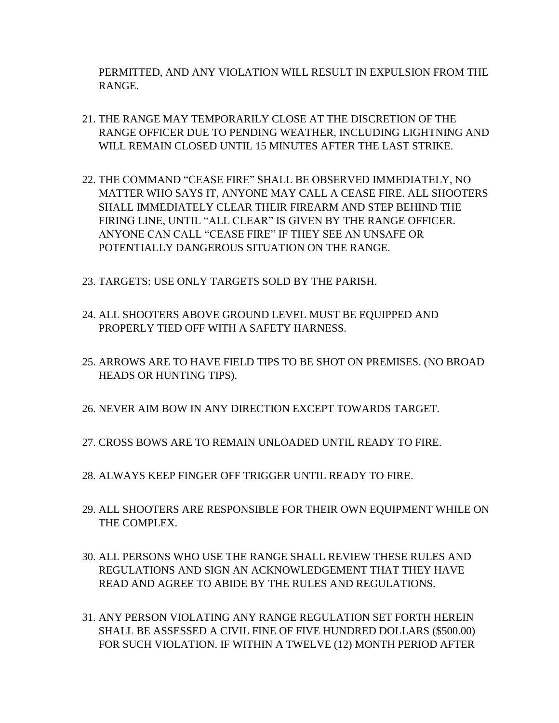PERMITTED, AND ANY VIOLATION WILL RESULT IN EXPULSION FROM THE RANGE.

- 21. THE RANGE MAY TEMPORARILY CLOSE AT THE DISCRETION OF THE RANGE OFFICER DUE TO PENDING WEATHER, INCLUDING LIGHTNING AND WILL REMAIN CLOSED UNTIL 15 MINUTES AFTER THE LAST STRIKE.
- 22. THE COMMAND "CEASE FIRE" SHALL BE OBSERVED IMMEDIATELY, NO MATTER WHO SAYS IT, ANYONE MAY CALL A CEASE FIRE. ALL SHOOTERS SHALL IMMEDIATELY CLEAR THEIR FIREARM AND STEP BEHIND THE FIRING LINE, UNTIL "ALL CLEAR" IS GIVEN BY THE RANGE OFFICER. ANYONE CAN CALL "CEASE FIRE" IF THEY SEE AN UNSAFE OR POTENTIALLY DANGEROUS SITUATION ON THE RANGE.
- 23. TARGETS: USE ONLY TARGETS SOLD BY THE PARISH.
- 24. ALL SHOOTERS ABOVE GROUND LEVEL MUST BE EQUIPPED AND PROPERLY TIED OFF WITH A SAFETY HARNESS.
- 25. ARROWS ARE TO HAVE FIELD TIPS TO BE SHOT ON PREMISES. (NO BROAD HEADS OR HUNTING TIPS).
- 26. NEVER AIM BOW IN ANY DIRECTION EXCEPT TOWARDS TARGET.
- 27. CROSS BOWS ARE TO REMAIN UNLOADED UNTIL READY TO FIRE.
- 28. ALWAYS KEEP FINGER OFF TRIGGER UNTIL READY TO FIRE.
- 29. ALL SHOOTERS ARE RESPONSIBLE FOR THEIR OWN EQUIPMENT WHILE ON THE COMPLEX.
- 30. ALL PERSONS WHO USE THE RANGE SHALL REVIEW THESE RULES AND REGULATIONS AND SIGN AN ACKNOWLEDGEMENT THAT THEY HAVE READ AND AGREE TO ABIDE BY THE RULES AND REGULATIONS.
- 31. ANY PERSON VIOLATING ANY RANGE REGULATION SET FORTH HEREIN SHALL BE ASSESSED A CIVIL FINE OF FIVE HUNDRED DOLLARS (\$500.00) FOR SUCH VIOLATION. IF WITHIN A TWELVE (12) MONTH PERIOD AFTER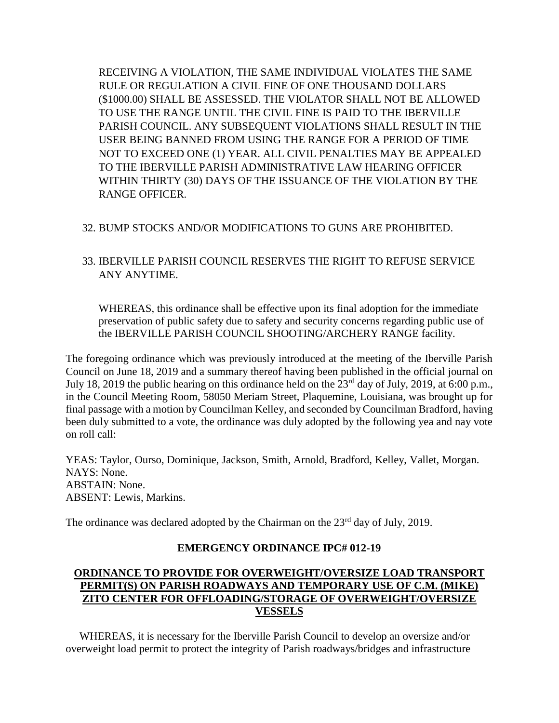RECEIVING A VIOLATION, THE SAME INDIVIDUAL VIOLATES THE SAME RULE OR REGULATION A CIVIL FINE OF ONE THOUSAND DOLLARS (\$1000.00) SHALL BE ASSESSED. THE VIOLATOR SHALL NOT BE ALLOWED TO USE THE RANGE UNTIL THE CIVIL FINE IS PAID TO THE IBERVILLE PARISH COUNCIL. ANY SUBSEQUENT VIOLATIONS SHALL RESULT IN THE USER BEING BANNED FROM USING THE RANGE FOR A PERIOD OF TIME NOT TO EXCEED ONE (1) YEAR. ALL CIVIL PENALTIES MAY BE APPEALED TO THE IBERVILLE PARISH ADMINISTRATIVE LAW HEARING OFFICER WITHIN THIRTY (30) DAYS OF THE ISSUANCE OF THE VIOLATION BY THE RANGE OFFICER.

### 32. BUMP STOCKS AND/OR MODIFICATIONS TO GUNS ARE PROHIBITED.

## 33. IBERVILLE PARISH COUNCIL RESERVES THE RIGHT TO REFUSE SERVICE ANY ANYTIME.

WHEREAS, this ordinance shall be effective upon its final adoption for the immediate preservation of public safety due to safety and security concerns regarding public use of the IBERVILLE PARISH COUNCIL SHOOTING/ARCHERY RANGE facility.

The foregoing ordinance which was previously introduced at the meeting of the Iberville Parish Council on June 18, 2019 and a summary thereof having been published in the official journal on July 18, 2019 the public hearing on this ordinance held on the 23<sup>rd</sup> day of July, 2019, at 6:00 p.m., in the Council Meeting Room, 58050 Meriam Street, Plaquemine, Louisiana, was brought up for final passage with a motion by Councilman Kelley, and seconded by Councilman Bradford, having been duly submitted to a vote, the ordinance was duly adopted by the following yea and nay vote on roll call:

YEAS: Taylor, Ourso, Dominique, Jackson, Smith, Arnold, Bradford, Kelley, Vallet, Morgan. NAYS: None. ABSTAIN: None. ABSENT: Lewis, Markins.

The ordinance was declared adopted by the Chairman on the 23<sup>rd</sup> day of July, 2019.

### **EMERGENCY ORDINANCE IPC# 012-19**

### **ORDINANCE TO PROVIDE FOR OVERWEIGHT/OVERSIZE LOAD TRANSPORT PERMIT(S) ON PARISH ROADWAYS AND TEMPORARY USE OF C.M. (MIKE) ZITO CENTER FOR OFFLOADING/STORAGE OF OVERWEIGHT/OVERSIZE VESSELS**

 WHEREAS, it is necessary for the Iberville Parish Council to develop an oversize and/or overweight load permit to protect the integrity of Parish roadways/bridges and infrastructure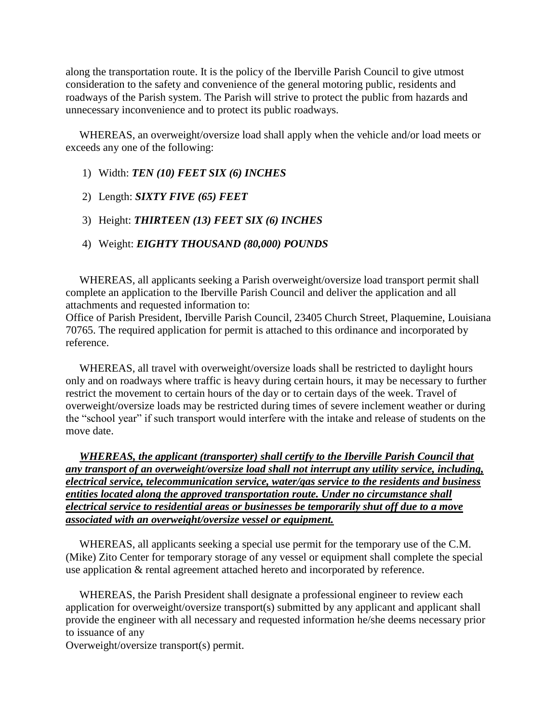along the transportation route. It is the policy of the Iberville Parish Council to give utmost consideration to the safety and convenience of the general motoring public, residents and roadways of the Parish system. The Parish will strive to protect the public from hazards and unnecessary inconvenience and to protect its public roadways.

 WHEREAS, an overweight/oversize load shall apply when the vehicle and/or load meets or exceeds any one of the following:

- 1) Width: *TEN (10) FEET SIX (6) INCHES*
- 2) Length: *SIXTY FIVE (65) FEET*
- 3) Height: *THIRTEEN (13) FEET SIX (6) INCHES*
- 4) Weight: *EIGHTY THOUSAND (80,000) POUNDS*

 WHEREAS, all applicants seeking a Parish overweight/oversize load transport permit shall complete an application to the Iberville Parish Council and deliver the application and all attachments and requested information to:

Office of Parish President, Iberville Parish Council, 23405 Church Street, Plaquemine, Louisiana 70765. The required application for permit is attached to this ordinance and incorporated by reference.

 WHEREAS, all travel with overweight/oversize loads shall be restricted to daylight hours only and on roadways where traffic is heavy during certain hours, it may be necessary to further restrict the movement to certain hours of the day or to certain days of the week. Travel of overweight/oversize loads may be restricted during times of severe inclement weather or during the "school year" if such transport would interfere with the intake and release of students on the move date.

 *WHEREAS, the applicant (transporter) shall certify to the Iberville Parish Council that any transport of an overweight/oversize load shall not interrupt any utility service, including, electrical service, telecommunication service, water/gas service to the residents and business entities located along the approved transportation route. Under no circumstance shall electrical service to residential areas or businesses be temporarily shut off due to a move associated with an overweight/oversize vessel or equipment.* 

 WHEREAS, all applicants seeking a special use permit for the temporary use of the C.M. (Mike) Zito Center for temporary storage of any vessel or equipment shall complete the special use application & rental agreement attached hereto and incorporated by reference.

 WHEREAS, the Parish President shall designate a professional engineer to review each application for overweight/oversize transport(s) submitted by any applicant and applicant shall provide the engineer with all necessary and requested information he/she deems necessary prior to issuance of any

Overweight/oversize transport(s) permit.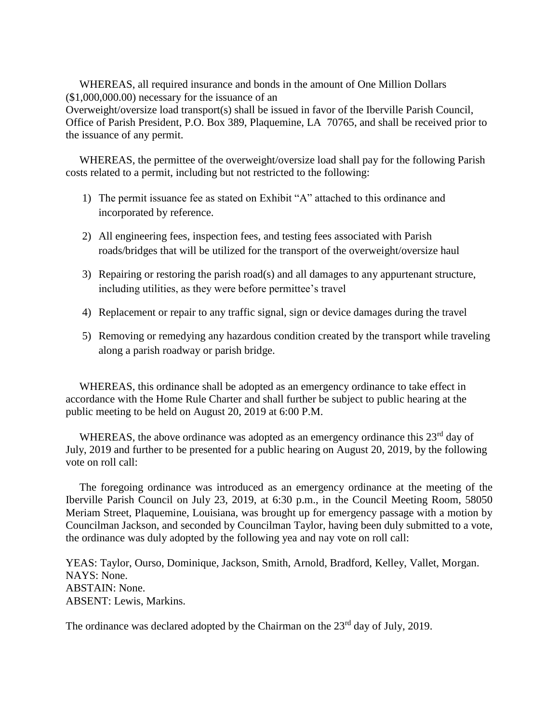WHEREAS, all required insurance and bonds in the amount of One Million Dollars (\$1,000,000.00) necessary for the issuance of an

Overweight/oversize load transport(s) shall be issued in favor of the Iberville Parish Council, Office of Parish President, P.O. Box 389, Plaquemine, LA 70765, and shall be received prior to the issuance of any permit.

 WHEREAS, the permittee of the overweight/oversize load shall pay for the following Parish costs related to a permit, including but not restricted to the following:

- 1) The permit issuance fee as stated on Exhibit "A" attached to this ordinance and incorporated by reference.
- 2) All engineering fees, inspection fees, and testing fees associated with Parish roads/bridges that will be utilized for the transport of the overweight/oversize haul
- 3) Repairing or restoring the parish road(s) and all damages to any appurtenant structure, including utilities, as they were before permittee's travel
- 4) Replacement or repair to any traffic signal, sign or device damages during the travel
- 5) Removing or remedying any hazardous condition created by the transport while traveling along a parish roadway or parish bridge.

 WHEREAS, this ordinance shall be adopted as an emergency ordinance to take effect in accordance with the Home Rule Charter and shall further be subject to public hearing at the public meeting to be held on August 20, 2019 at 6:00 P.M.

WHEREAS, the above ordinance was adopted as an emergency ordinance this 23<sup>rd</sup> day of July, 2019 and further to be presented for a public hearing on August 20, 2019, by the following vote on roll call:

 The foregoing ordinance was introduced as an emergency ordinance at the meeting of the Iberville Parish Council on July 23, 2019, at 6:30 p.m., in the Council Meeting Room, 58050 Meriam Street, Plaquemine, Louisiana, was brought up for emergency passage with a motion by Councilman Jackson, and seconded by Councilman Taylor, having been duly submitted to a vote, the ordinance was duly adopted by the following yea and nay vote on roll call:

YEAS: Taylor, Ourso, Dominique, Jackson, Smith, Arnold, Bradford, Kelley, Vallet, Morgan. NAYS: None. ABSTAIN: None. ABSENT: Lewis, Markins.

The ordinance was declared adopted by the Chairman on the 23<sup>rd</sup> day of July, 2019.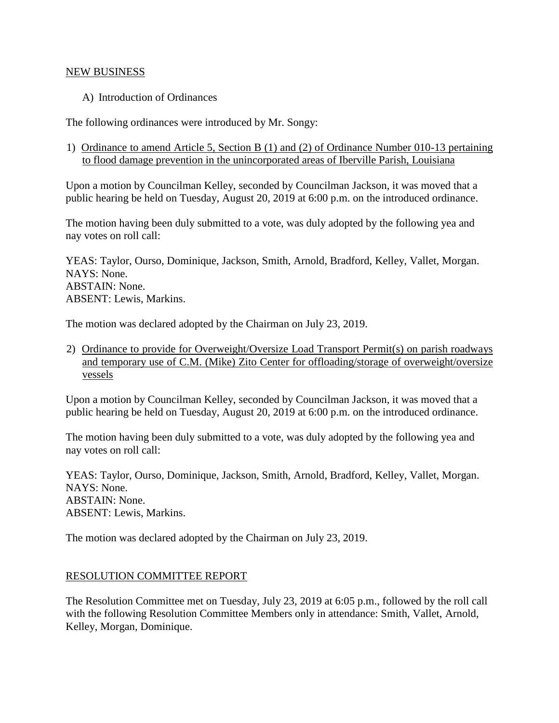#### NEW BUSINESS

A) Introduction of Ordinances

The following ordinances were introduced by Mr. Songy:

1) Ordinance to amend Article 5, Section B (1) and (2) of Ordinance Number 010-13 pertaining to flood damage prevention in the unincorporated areas of Iberville Parish, Louisiana

Upon a motion by Councilman Kelley, seconded by Councilman Jackson, it was moved that a public hearing be held on Tuesday, August 20, 2019 at 6:00 p.m. on the introduced ordinance.

The motion having been duly submitted to a vote, was duly adopted by the following yea and nay votes on roll call:

YEAS: Taylor, Ourso, Dominique, Jackson, Smith, Arnold, Bradford, Kelley, Vallet, Morgan. NAYS: None. ABSTAIN: None. ABSENT: Lewis, Markins.

The motion was declared adopted by the Chairman on July 23, 2019.

2) Ordinance to provide for Overweight/Oversize Load Transport Permit(s) on parish roadways and temporary use of C.M. (Mike) Zito Center for offloading/storage of overweight/oversize vessels

Upon a motion by Councilman Kelley, seconded by Councilman Jackson, it was moved that a public hearing be held on Tuesday, August 20, 2019 at 6:00 p.m. on the introduced ordinance.

The motion having been duly submitted to a vote, was duly adopted by the following yea and nay votes on roll call:

YEAS: Taylor, Ourso, Dominique, Jackson, Smith, Arnold, Bradford, Kelley, Vallet, Morgan. NAYS: None. ABSTAIN: None. ABSENT: Lewis, Markins.

The motion was declared adopted by the Chairman on July 23, 2019.

#### RESOLUTION COMMITTEE REPORT

The Resolution Committee met on Tuesday, July 23, 2019 at 6:05 p.m., followed by the roll call with the following Resolution Committee Members only in attendance: Smith, Vallet, Arnold, Kelley, Morgan, Dominique.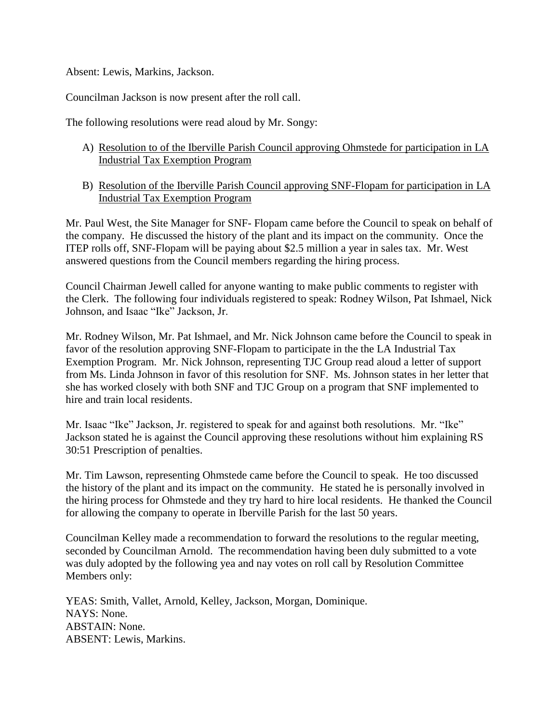Absent: Lewis, Markins, Jackson.

Councilman Jackson is now present after the roll call.

The following resolutions were read aloud by Mr. Songy:

- A) Resolution to of the Iberville Parish Council approving Ohmstede for participation in LA Industrial Tax Exemption Program
- B) Resolution of the Iberville Parish Council approving SNF-Flopam for participation in LA Industrial Tax Exemption Program

Mr. Paul West, the Site Manager for SNF- Flopam came before the Council to speak on behalf of the company. He discussed the history of the plant and its impact on the community. Once the ITEP rolls off, SNF-Flopam will be paying about \$2.5 million a year in sales tax. Mr. West answered questions from the Council members regarding the hiring process.

Council Chairman Jewell called for anyone wanting to make public comments to register with the Clerk. The following four individuals registered to speak: Rodney Wilson, Pat Ishmael, Nick Johnson, and Isaac "Ike" Jackson, Jr.

Mr. Rodney Wilson, Mr. Pat Ishmael, and Mr. Nick Johnson came before the Council to speak in favor of the resolution approving SNF-Flopam to participate in the the LA Industrial Tax Exemption Program. Mr. Nick Johnson, representing TJC Group read aloud a letter of support from Ms. Linda Johnson in favor of this resolution for SNF. Ms. Johnson states in her letter that she has worked closely with both SNF and TJC Group on a program that SNF implemented to hire and train local residents.

Mr. Isaac "Ike" Jackson, Jr. registered to speak for and against both resolutions. Mr. "Ike" Jackson stated he is against the Council approving these resolutions without him explaining RS 30:51 Prescription of penalties.

Mr. Tim Lawson, representing Ohmstede came before the Council to speak. He too discussed the history of the plant and its impact on the community. He stated he is personally involved in the hiring process for Ohmstede and they try hard to hire local residents. He thanked the Council for allowing the company to operate in Iberville Parish for the last 50 years.

Councilman Kelley made a recommendation to forward the resolutions to the regular meeting, seconded by Councilman Arnold. The recommendation having been duly submitted to a vote was duly adopted by the following yea and nay votes on roll call by Resolution Committee Members only:

YEAS: Smith, Vallet, Arnold, Kelley, Jackson, Morgan, Dominique. NAYS: None. ABSTAIN: None. ABSENT: Lewis, Markins.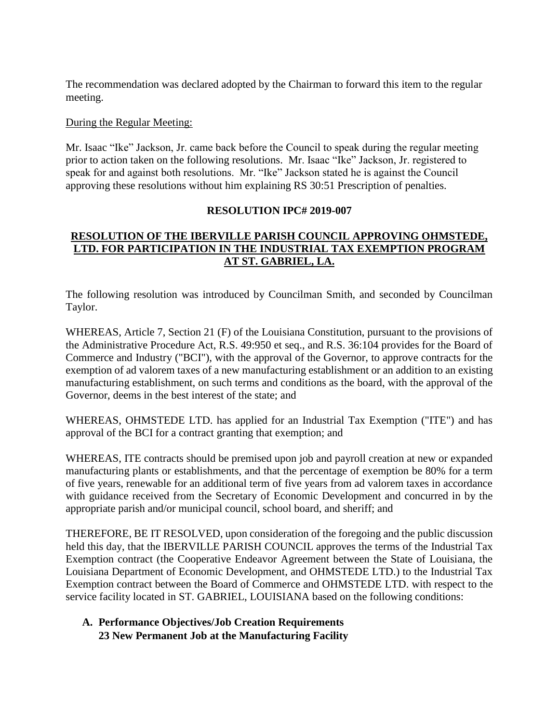The recommendation was declared adopted by the Chairman to forward this item to the regular meeting.

#### During the Regular Meeting:

Mr. Isaac "Ike" Jackson, Jr. came back before the Council to speak during the regular meeting prior to action taken on the following resolutions. Mr. Isaac "Ike" Jackson, Jr. registered to speak for and against both resolutions. Mr. "Ike" Jackson stated he is against the Council approving these resolutions without him explaining RS 30:51 Prescription of penalties.

#### **RESOLUTION IPC# 2019-007**

## **RESOLUTION OF THE IBERVILLE PARISH COUNCIL APPROVING OHMSTEDE, LTD. FOR PARTICIPATION IN THE INDUSTRIAL TAX EXEMPTION PROGRAM AT ST. GABRIEL, LA.**

The following resolution was introduced by Councilman Smith, and seconded by Councilman Taylor.

WHEREAS, Article 7, Section 21 (F) of the Louisiana Constitution, pursuant to the provisions of the Administrative Procedure Act, R.S. 49:950 et seq., and R.S. 36:104 provides for the Board of Commerce and Industry ("BCI"), with the approval of the Governor, to approve contracts for the exemption of ad valorem taxes of a new manufacturing establishment or an addition to an existing manufacturing establishment, on such terms and conditions as the board, with the approval of the Governor, deems in the best interest of the state; and

WHEREAS, OHMSTEDE LTD. has applied for an Industrial Tax Exemption ("ITE") and has approval of the BCI for a contract granting that exemption; and

WHEREAS, ITE contracts should be premised upon job and payroll creation at new or expanded manufacturing plants or establishments, and that the percentage of exemption be 80% for a term of five years, renewable for an additional term of five years from ad valorem taxes in accordance with guidance received from the Secretary of Economic Development and concurred in by the appropriate parish and/or municipal council, school board, and sheriff; and

THEREFORE, BE IT RESOLVED, upon consideration of the foregoing and the public discussion held this day, that the IBERVILLE PARISH COUNCIL approves the terms of the Industrial Tax Exemption contract (the Cooperative Endeavor Agreement between the State of Louisiana, the Louisiana Department of Economic Development, and OHMSTEDE LTD.) to the Industrial Tax Exemption contract between the Board of Commerce and OHMSTEDE LTD. with respect to the service facility located in ST. GABRIEL, LOUISIANA based on the following conditions:

### **A. Performance Objectives/Job Creation Requirements 23 New Permanent Job at the Manufacturing Facility**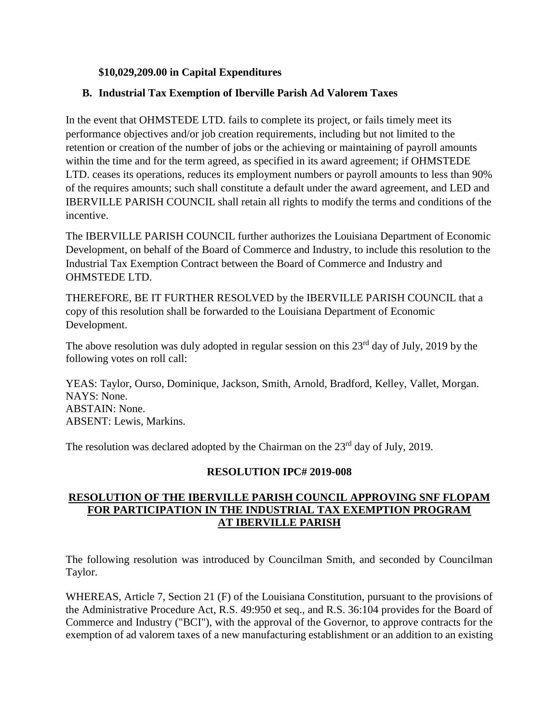### **\$10,029,209.00 in Capital Expenditures**

## **B. Industrial Tax Exemption of Iberville Parish Ad Valorem Taxes**

In the event that OHMSTEDE LTD. fails to complete its project, or fails timely meet its performance objectives and/or job creation requirements, including but not limited to the retention or creation of the number of jobs or the achieving or maintaining of payroll amounts within the time and for the term agreed, as specified in its award agreement; if OHMSTEDE LTD. ceases its operations, reduces its employment numbers or payroll amounts to less than 90% of the requires amounts; such shall constitute a default under the award agreement, and LED and IBERVILLE PARISH COUNCIL shall retain all rights to modify the terms and conditions of the incentive.

The IBERVILLE PARISH COUNCIL further authorizes the Louisiana Department of Economic Development, on behalf of the Board of Commerce and Industry, to include this resolution to the Industrial Tax Exemption Contract between the Board of Commerce and Industry and OHMSTEDE LTD.

THEREFORE, BE IT FURTHER RESOLVED by the IBERVILLE PARISH COUNCIL that a copy of this resolution shall be forwarded to the Louisiana Department of Economic Development.

The above resolution was duly adopted in regular session on this 23<sup>rd</sup> day of July, 2019 by the following votes on roll call:

YEAS: Taylor, Ourso, Dominique, Jackson, Smith, Arnold, Bradford, Kelley, Vallet, Morgan. NAYS: None. ABSTAIN: None. ABSENT: Lewis, Markins.

The resolution was declared adopted by the Chairman on the 23<sup>rd</sup> day of July, 2019.

## **RESOLUTION IPC# 2019-008**

### **RESOLUTION OF THE IBERVILLE PARISH COUNCIL APPROVING SNF FLOPAM FOR PARTICIPATION IN THE INDUSTRIAL TAX EXEMPTION PROGRAM AT IBERVILLE PARISH**

The following resolution was introduced by Councilman Smith, and seconded by Councilman Taylor.

WHEREAS, Article 7, Section 21 (F) of the Louisiana Constitution, pursuant to the provisions of the Administrative Procedure Act, R.S. 49:950 et seq., and R.S. 36:104 provides for the Board of Commerce and Industry ("BCI"), with the approval of the Governor, to approve contracts for the exemption of ad valorem taxes of a new manufacturing establishment or an addition to an existing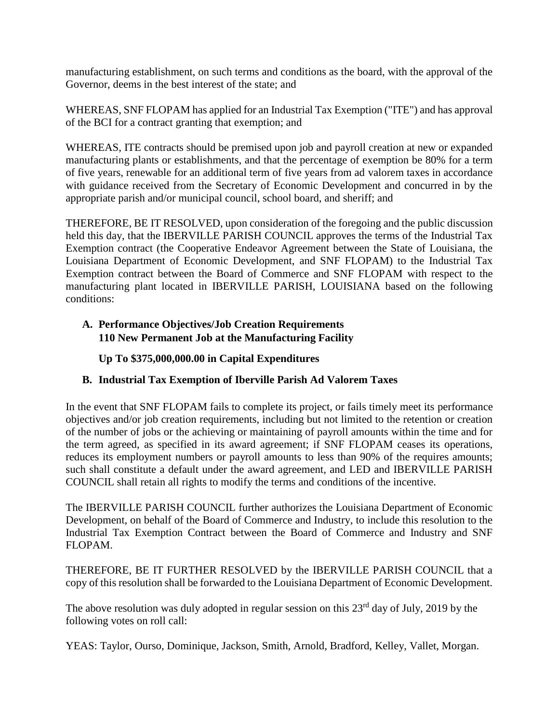manufacturing establishment, on such terms and conditions as the board, with the approval of the Governor, deems in the best interest of the state; and

WHEREAS, SNF FLOPAM has applied for an Industrial Tax Exemption ("ITE") and has approval of the BCI for a contract granting that exemption; and

WHEREAS, ITE contracts should be premised upon job and payroll creation at new or expanded manufacturing plants or establishments, and that the percentage of exemption be 80% for a term of five years, renewable for an additional term of five years from ad valorem taxes in accordance with guidance received from the Secretary of Economic Development and concurred in by the appropriate parish and/or municipal council, school board, and sheriff; and

THEREFORE, BE IT RESOLVED, upon consideration of the foregoing and the public discussion held this day, that the IBERVILLE PARISH COUNCIL approves the terms of the Industrial Tax Exemption contract (the Cooperative Endeavor Agreement between the State of Louisiana, the Louisiana Department of Economic Development, and SNF FLOPAM) to the Industrial Tax Exemption contract between the Board of Commerce and SNF FLOPAM with respect to the manufacturing plant located in IBERVILLE PARISH, LOUISIANA based on the following conditions:

## **A. Performance Objectives/Job Creation Requirements 110 New Permanent Job at the Manufacturing Facility**

**Up To \$375,000,000.00 in Capital Expenditures**

# **B. Industrial Tax Exemption of Iberville Parish Ad Valorem Taxes**

In the event that SNF FLOPAM fails to complete its project, or fails timely meet its performance objectives and/or job creation requirements, including but not limited to the retention or creation of the number of jobs or the achieving or maintaining of payroll amounts within the time and for the term agreed, as specified in its award agreement; if SNF FLOPAM ceases its operations, reduces its employment numbers or payroll amounts to less than 90% of the requires amounts; such shall constitute a default under the award agreement, and LED and IBERVILLE PARISH COUNCIL shall retain all rights to modify the terms and conditions of the incentive.

The IBERVILLE PARISH COUNCIL further authorizes the Louisiana Department of Economic Development, on behalf of the Board of Commerce and Industry, to include this resolution to the Industrial Tax Exemption Contract between the Board of Commerce and Industry and SNF FLOPAM.

THEREFORE, BE IT FURTHER RESOLVED by the IBERVILLE PARISH COUNCIL that a copy of this resolution shall be forwarded to the Louisiana Department of Economic Development.

The above resolution was duly adopted in regular session on this 23<sup>rd</sup> day of July, 2019 by the following votes on roll call:

YEAS: Taylor, Ourso, Dominique, Jackson, Smith, Arnold, Bradford, Kelley, Vallet, Morgan.